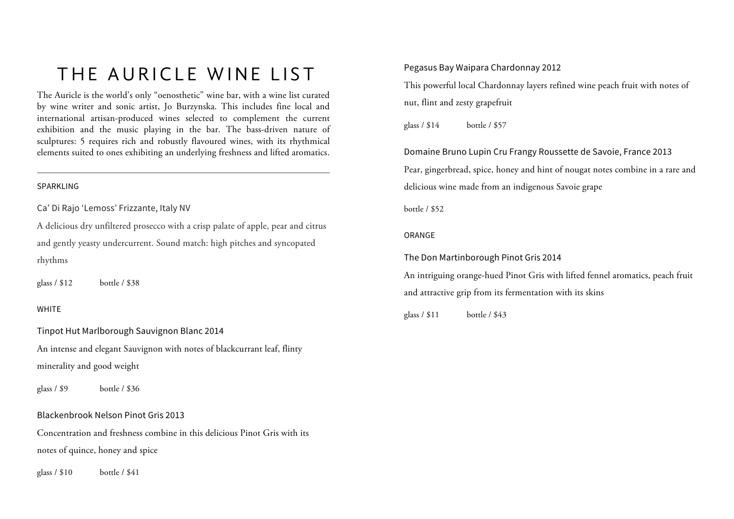# THE AURICLE WINE LIST

The Auricle is the world's only "oenosthetic" wine bar, with a wine list curated by wine writer and sonic artist, Jo Burzynska. This includes fine local and international artisan-produced wines selected to complement the current exhibition and the music playing in the bar. The bass-driven nature of sculptures: 5 requires rich and robustly flavoured wines, with its rhythmical elements suited to ones exhibiting an underlying freshness and lifted aromatics.

#### SPARKLING

Ca' Di Rajo 'Lemoss' Frizzante, Italy NV

A delicious dry unfiltered prosecco with a crisp palate of apple, pear and citrus and gently yeasty undercurrent. Sound match: high pitches and syncopated rhythms

glass / \$12 bottle / \$38

# WHITE

Tinpot Hut Marlborough Sauvignon Blanc 2014 An intense and elegant Sauvignon with notes of blackcurrant leaf, flinty minerality and good weight

glass / \$9 bottle / \$36

Blackenbrook Nelson Pinot Gris 2013

Concentration and freshness combine in this delicious Pinot Gris with its notes of quince, honey and spice

glass / \$10 bottle / \$41

# Pegasus Bay Waipara Chardonnay 2012

This powerful local Chardonnay layers refined wine peach fruit with notes of nut, flint and zesty grapefruit

glass / \$14 bottle / \$57

Domaine Bruno Lupin Cru Frangy Roussette de Savoie, France 2013 Pear, gingerbread, spice, honey and hint of nougat notes combine in a rare and delicious wine made from an indigenous Savoie grape

bottle / \$52

# ORANGE

The Don Martinborough Pinot Gris 2014

An intriguing orange-hued Pinot Gris with lifted fennel aromatics, peach fruit and attractive grip from its fermentation with its skins

glass / \$11 bottle / \$43